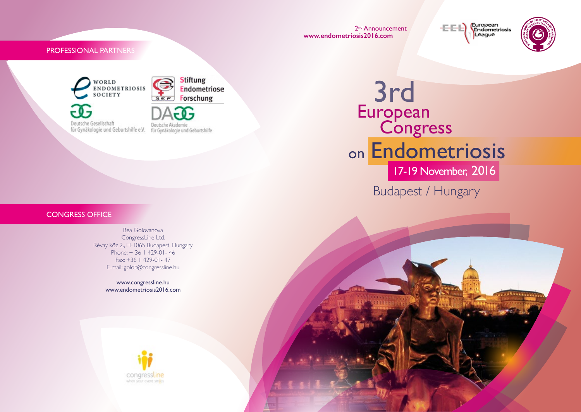2<sup>nd</sup> Announcement **www.endometriosis2016.com**

European<br>Endometriosis 동문원 League



PROFESSIONAL PARTNERS

WORLD<br>ENDOMETRIOSIS SOCIETY Deutsche Gesellschaft für Gynäkologie und Geburtshilfe e.V. für Gynäkologie und Geburtshilfe



3rd **European** Budapest / Hungary on Endometriosis **Congress** 17-19 November, 2016

# CONGRESS OFFICE

Bea Golovanova CongressLine Ltd. Révay köz 2., H-1065 Budapest, Hungary Phone: + 36 1 429-01- 46 Fax: +36 1 429-01- 47 E-mail: golob@congressline.hu

> www.congressline.hu www.endometriosis2016.com

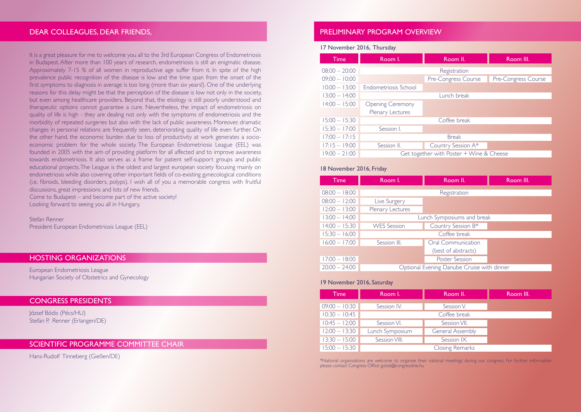# DEAR COLLEAGUES, DEAR FRIENDS,

It is a great pleasure for me to welcome you all to the 3rd European Congress of Endometriosis in Budapest. After more than 100 years of research, endometriosis is still an enigmatic disease. Approximately 7-15 % of all women in reproductive age suffer from it. In spite of the high prevalence public recognition of the disease is low and the time span from the onset of the first symptoms to diagnosis in average is too long (more than six years!). One of the underlying reasons for this delay might be that the perception of the disease is low not only in the society, but even among healthcare providers. Beyond that, the etiology is still poorly understood and therapeutic options cannot guarantee a cure. Nevertheless, the impact of endometriosis on quality of life is high - they are dealing not only with the symptoms of endometriosis and the morbidity of repeated surgeries but also with the lack of public awareness. Moreover, dramatic changes in personal relations are frequently seen, deteriorating quality of life even further. On the other hand, the economic burden due to loss of productivity at work generates a socioeconomic problem for the whole society. The European Endometriosis League (EEL) was founded in 2005 with the aim of providing platform for all affected and to improve awareness towards endometriosis. It also serves as a frame for patient self-support groups and public educational projects. The League is the oldest and largest european society focusing mainly on endometriosis while also covering other important fields of co-existing gynecological conditions (i.e. fibroids, bleeding disorders, polyps). I wish all of you a memorable congress with fruitful discussions, great impressions and lots of new friends. Come to Budapest – and become part of the active society!

Looking forward to seeing you all in Hungary,

# Stefan Renner

President European Endometriosis League (EEL)

# HOSTING ORGANIZATIONS

European Endometriosis League Hungarian Society of Obstetrics and Gynecology

# CONGRESS PRESIDENTS

József Bódis (Pécs/HU) Stefan P. Renner (Erlangen/DE)

# SCIENTIFIC PROGRAMME COMMITTEE CHAIR

Hans-Rudolf Tinneberg (Gießen/DE)

# PRELIMINARY PROGRAM OVERVIEW

### 17 November 2016, Thursday

| <b>Time</b>     | Room I.                                  | Room II.            | Room III.           |
|-----------------|------------------------------------------|---------------------|---------------------|
| $08:00 - 20:00$ | Registration                             |                     |                     |
| $09:00 - 10:00$ |                                          | Pre-Congress Course | Pre-Congress Course |
| $10:00 - 13:00$ | Endometriosis School                     |                     |                     |
| $13:00 - 14:00$ | Lunch break                              |                     |                     |
| $14:00 - 15:00$ | <b>Opening Ceremony</b>                  |                     |                     |
|                 | Plenary Lectures                         |                     |                     |
| $15:00 - 15:30$ | Coffee break                             |                     |                     |
| $15:30 - 17:00$ | Session I.                               |                     |                     |
| $17:00 - 17:15$ | <b>Break</b>                             |                     |                     |
| $17:15 - 19:00$ | Session II.                              | Country Session A*  |                     |
| $19:00 - 21:00$ | Get together with Poster + Wine & Cheese |                     |                     |

### 18 November 2016, Friday

| Time            | Room I.                                    | Room II.              | Room III. |
|-----------------|--------------------------------------------|-----------------------|-----------|
| $08:00 - 18:00$ | Registration                               |                       |           |
| $08:00 - 12:00$ | Live Surgery                               |                       |           |
| $12:00 - 13:00$ | Plenary Lectures                           |                       |           |
| $13:00 - 14:00$ | Lunch Symposiums and break                 |                       |           |
| $14:00 - 15:30$ | <b>WES</b> Session                         | Country Session B*    |           |
| $15:30 - 16:00$ | Coffee break                               |                       |           |
| $16:00 - 17:00$ | Session III.                               | Oral Communication    |           |
|                 |                                            | (best of abstracts)   |           |
| $17:00 - 18:00$ |                                            | <b>Poster Session</b> |           |
| $20:00 - 24:00$ | Optional Evening Danube Cruise with dinner |                       |           |

### 19 November 2016, Saturday

| <b>Time</b>     | Room I.                | Room II.                | Room III. |
|-----------------|------------------------|-------------------------|-----------|
| $09:00 - 10:30$ | Session IV.            | Session V.              |           |
| $10:30 - 10:45$ |                        |                         |           |
| $10:45 - 12:00$ | Session VI.            | Session VII.            |           |
| $12:00 - 13:30$ | Lunch Symposium        | <b>General Assembly</b> |           |
| $13:30 - 15:00$ | Session VIII.          | Session IX.             |           |
| $15:00 - 15:30$ | <b>Closing Remarks</b> |                         |           |

\*National organisations are welcome to organise their national meetings during our congress. For further information please contact Congress Office golob@congressline.hu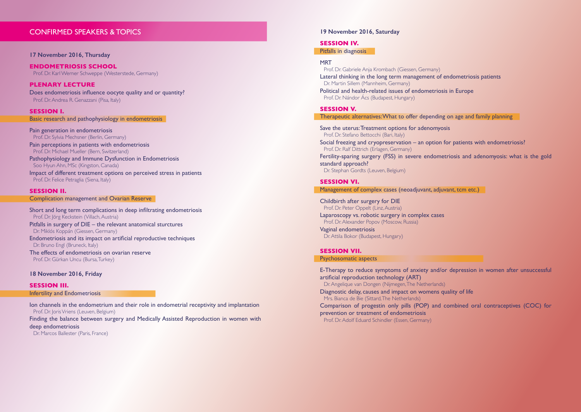# CONFIRMED SPEAKERS & TOPICS

#### **17 November 2016, Thursday**

**ENDOMETRIOSIS SCHOOL** Prof. Dr. Karl Werner Schweppe (Westerstede, Germany)

**PLENARY LECTURE** Does endometriosis influence oocyte quality and or quantity? Prof. Dr. Andrea R. Genazzani (Pisa, Italy)

**SESSION I.** Basic research and pathophysiology in endometriosis

Pain generation in endometriosis Prof. Dr. Sylvia Mechsner (Berlin, Germany) Pain perceptions in patients with endometriosis Prof. Dr. Michael Mueller (Bern, Switzerland) Pathophysiology and Immune Dysfunction in Endometriosis Soo Hyun Ahn, MSc (Kingston, Canada) Impact of different treatment options on perceived stress in patients

Prof. Dr. Felice Petraglia (Siena, Italy)

## **SESSION II.**

Complication management and Ovarian Reserve

Short and long term complications in deep infiltrating endometriosis Prof. Dr. Jörg Keckstein (Villach, Austria) Pitfalls in surgery of DIE – the relevant anatomical sturctures Dr. Miklós Koppán (Giessen, Germany) Endometriosis and its impact on artificial reproductive techniques Dr. Bruno Engl (Bruneck, Italy) The effects of endometriosis on ovarian reserve Prof. Dr. Gürkan Uncu (Bursa, Turkey)

### **18 November 2016, Friday**

**SESSION III.** Infertility and Endometriosis

Ion channels in the endometrium and their role in endometrial receptivity and implantation Prof. Dr. Joris Vriens (Leuven, Belgium)

Finding the balance between surgery and Medically Assisted Reproduction in women with deep endometriosis

Dr. Marcos Ballester (Paris, France)

### **19 November 2016, Saturday**

#### **SESSION IV.**

Pitfalls in diagnosis

#### MRT

Prof. Dr. Gabriele Anja Krombach (Giessen, Germany) Lateral thinking in the long term management of endometriosis patients Dr. Martin Sillem (Mannheim, Germany) Political and health-related issues of endometriosis in Europe Prof. Dr. Nándor Ács (Budapest, Hungary)

#### **SESSION V.**

Therapeutic alternatives: What to offer depending on age and family planning

Save the uterus: Treatment options for adenomyosis Prof. Dr. Stefano Bettocchi (Bari, Italy) Social freezing and cryopreservation – an option for patients with endometriosis? Prof. Dr. Ralf Dittrich (Erlagen, Germany) Fertility-sparing surgery (FSS) in severe endometriosis and adenomyosis: what is the gold standard approach? Dr. Stephan Gordts (Leuven, Belgium)

### **SESSION VI.**

Management of complex cases (neoadjuvant, adjuvant, tcm etc.)

Childbirth after surgery for DIE Prof. Dr. Peter Oppelt (Linz, Austria) Laparoscopy vs. robotic surgery in complex cases Prof. Dr. Alexander Popov (Moscow, Russia) Vaginal endometriosis Dr. Attila Bokor (Budapest, Hungary)

### **SESSION VII.**

#### Psychosomatic aspects

E-Therapy to reduce symptoms of anxiety and/or depression in women after unsuccessful artificial reproduction technology (ART) Dr. Angelique van Dongen (Nijmegen, The Netherlands) Diagnostic delay, causes and impact on womens quality of life Mrs. Bianca de Bie (Sittard, The Netherlands) Comparison of progestin only pills (POP) and combined oral contraceptives (COC) for prevention or treatment of endometriosis Prof. Dr. Adolf Eduard Schindler (Essen, Germany)